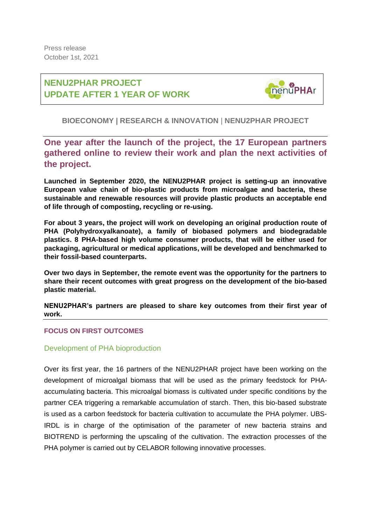# **NENU2PHAR PROJECT UPDATE AFTER 1 YEAR OF WORK**



# **BIOECONOMY | RESEARCH & INNOVATION** | **NENU2PHAR PROJECT**

**One year after the launch of the project, the 17 European partners gathered online to review their work and plan the next activities of the project.**

**Launched in September 2020, the NENU2PHAR project is setting-up an innovative European value chain of bio-plastic products from microalgae and bacteria, these sustainable and renewable resources will provide plastic products an acceptable end of life through of composting, recycling or re-using.**

**For about 3 years, the project will work on developing an original production route of PHA (Polyhydroxyalkanoate), a family of biobased polymers and biodegradable plastics. 8 PHA-based high volume consumer products, that will be either used for packaging, agricultural or medical applications, will be developed and benchmarked to their fossil-based counterparts.**

**Over two days in September, the remote event was the opportunity for the partners to share their recent outcomes with great progress on the development of the bio-based plastic material.** 

**NENU2PHAR's partners are pleased to share key outcomes from their first year of work.**

## **FOCUS ON FIRST OUTCOMES**

## Development of PHA bioproduction

Over its first year, the 16 partners of the NENU2PHAR project have been working on the development of microalgal biomass that will be used as the primary feedstock for PHAaccumulating bacteria. This microalgal biomass is cultivated under specific conditions by the partner CEA triggering a remarkable accumulation of starch. Then, this bio-based substrate is used as a carbon feedstock for bacteria cultivation to accumulate the PHA polymer. UBS-IRDL is in charge of the optimisation of the parameter of new bacteria strains and BIOTREND is performing the upscaling of the cultivation. The extraction processes of the PHA polymer is carried out by CELABOR following innovative processes.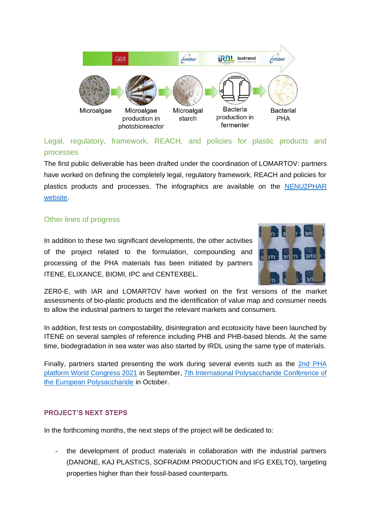

# Legal, regulatory, framework, REACH, and policies for plastic products and processes

The first public deliverable has been drafted under the coordination of LOMARTOV: partners have worked on defining the completely legal, regulatory framework, REACH and policies for plastics products and processes. The infographics are available on the [NENU2PHAR](https://nenu2phar.eu/public-documents/#scientific-articles)  [website.](https://nenu2phar.eu/public-documents/#scientific-articles)

## Other lines of progress

In addition to these two significant developments, the other activities of the project related to the formulation, compounding and processing of the PHA materials has been initiated by partners ITENE, ELIXANCE, BIOMI, IPC and CENTEXBEL.



ZER0-E, with IAR and LOMARTOV have worked on the first versions of the market assessments of bio-plastic products and the identification of value map and consumer needs to allow the industrial partners to target the relevant markets and consumers.

In addition, first tests on compostability, disintegration and ecotoxicity have been launched by ITENE on several samples of reference including PHB and PHB-based blends. At the same time, biodegradation in sea water was also started by IRDL using the same type of materials.

Finally, partners started presenting the work during several events such as the 2nd PHA [platform World Congress 2021](https://nenu2phar.eu/nenu2phar-will-present-at-the-2nd-pha-platform-world-congress/) in September, [7th International Polysaccharide Conference of](https://nenu2phar.eu/nenu2phar-researchers-will-participate-in-the-7th-international-polysaccharide-conference/)  [the European Polysaccharide](https://nenu2phar.eu/nenu2phar-researchers-will-participate-in-the-7th-international-polysaccharide-conference/) in October.

## **PROJECT'S NEXT STEPS**

In the forthcoming months, the next steps of the project will be dedicated to:

the development of product materials in collaboration with the industrial partners (DANONE, KAJ PLASTICS, SOFRADIM PRODUCTION and IFG EXELTO), targeting properties higher than their fossil-based counterparts.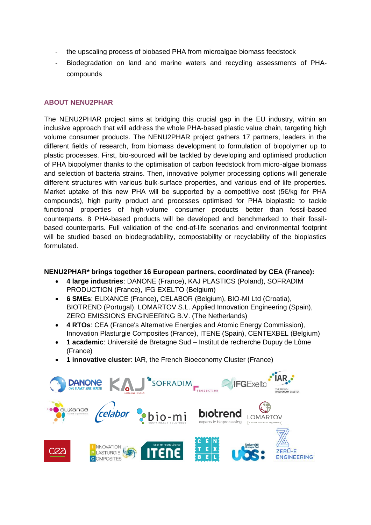- the upscaling process of biobased PHA from microalgae biomass feedstock
- Biodegradation on land and marine waters and recycling assessments of PHAcompounds

#### **ABOUT NENU2PHAR**

The NENU2PHAR project aims at bridging this crucial gap in the EU industry, within an inclusive approach that will address the whole PHA-based plastic value chain, targeting high volume consumer products. The NENU2PHAR project gathers 17 partners, leaders in the different fields of research, from biomass development to formulation of biopolymer up to plastic processes. First, bio-sourced will be tackled by developing and optimised production of PHA biopolymer thanks to the optimisation of carbon feedstock from micro-algae biomass and selection of bacteria strains. Then, innovative polymer processing options will generate different structures with various bulk-surface properties, and various end of life properties. Market uptake of this new PHA will be supported by a competitive cost (5€/kg for PHA compounds), high purity product and processes optimised for PHA bioplastic to tackle functional properties of high-volume consumer products better than fossil-based counterparts. 8 PHA-based products will be developed and benchmarked to their fossilbased counterparts. Full validation of the end-of-life scenarios and environmental footprint will be studied based on biodegradability, compostability or recyclability of the bioplastics formulated.

#### **NENU2PHAR\* brings together 16 European partners, coordinated by CEA (France):**

- **4 large industries**: DANONE (France), KAJ PLASTICS (Poland), SOFRADIM PRODUCTION (France), IFG EXELTO (Belgium)
- **6 SMEs**: ELIXANCE (France), CELABOR (Belgium), BIO-MI Ltd (Croatia), BIOTREND (Portugal), LOMARTOV S.L. Applied Innovation Engineering (Spain), ZERO EMISSIONS ENGINEERING B.V. (The Netherlands)
- **4 RTOs**: CEA (France's Alternative Energies and Atomic Energy Commission), Innovation Plasturgie Composites (France), ITENE (Spain), CENTEXBEL (Belgium)
- **1 academic**: Université de Bretagne Sud Institut de recherche Dupuy de Lôme (France)
- **1 innovative cluster**: IAR, the French Bioeconomy Cluster (France)